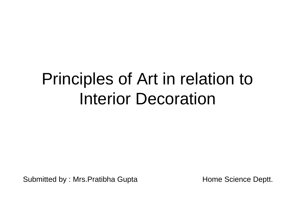# Principles of Art in relation to Interior Decoration

Submitted by : Mrs. Pratibha Gupta **Home Science Deptt.**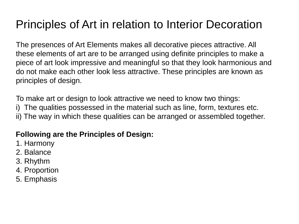# Principles of Art in relation to Interior Decoration

The presences of Art Elements makes all decorative pieces attractive. All these elements of art are to be arranged using definite principles to make a piece of art look impressive and meaningful so that they look harmonious and do not make each other look less attractive. These principles are known as principles of design.

To make art or design to look attractive we need to know two things: i) The qualities possessed in the material such as line, form, textures etc. ii) The way in which these qualities can be arranged or assembled together.

#### **Following are the Principles of Design:**

- 1. Harmony
- 2. Balance
- 3. Rhythm
- 4. Proportion
- 5. Emphasis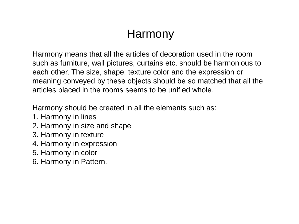### Harmony

Harmony means that all the articles of decoration used in the room such as furniture, wall pictures, curtains etc. should be harmonious to each other. The size, shape, texture color and the expression or meaning conveyed by these objects should be so matched that all the articles placed in the rooms seems to be unified whole.

Harmony should be created in all the elements such as:

- 1. Harmony in lines
- 2. Harmony in size and shape
- 3. Harmony in texture
- 4. Harmony in expression
- 5. Harmony in color
- 6. Harmony in Pattern.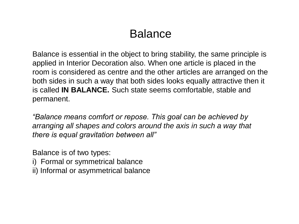### Balance

Balance is essential in the object to bring stability, the same principle is applied in Interior Decoration also. When one article is placed in the room is considered as centre and the other articles are arranged on the both sides in such a way that both sides looks equally attractive then it is called **IN BALANCE.** Such state seems comfortable, stable and permanent.

*"Balance means comfort or repose. This goal can be achieved by arranging all shapes and colors around the axis in such a way that there is equal gravitation between all"*

Balance is of two types:

- i) Formal or symmetrical balance
- ii) Informal or asymmetrical balance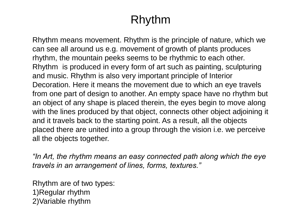# Rhythm

Rhythm means movement. Rhythm is the principle of nature, which we can see all around us e.g. movement of growth of plants produces rhythm, the mountain peeks seems to be rhythmic to each other. Rhythm is produced in every form of art such as painting, sculpturing and music. Rhythm is also very important principle of Interior Decoration. Here it means the movement due to which an eye travels from one part of design to another. An empty space have no rhythm but an object of any shape is placed therein, the eyes begin to move along with the lines produced by that object, connects other object adjoining it and it travels back to the starting point. As a result, all the objects placed there are united into a group through the vision i.e. we perceive all the objects together.

*"In Art, the rhythm means an easy connected path along which the eye travels in an arrangement of lines, forms, textures."*

Rhythm are of two types: 1)Regular rhythm 2)Variable rhythm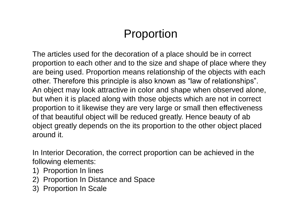# Proportion

The articles used for the decoration of a place should be in correct proportion to each other and to the size and shape of place where they are being used. Proportion means relationship of the objects with each other. Therefore this principle is also known as "law of relationships". An object may look attractive in color and shape when observed alone, but when it is placed along with those objects which are not in correct proportion to it likewise they are very large or small then effectiveness of that beautiful object will be reduced greatly. Hence beauty of ab object greatly depends on the its proportion to the other object placed around it.

In Interior Decoration, the correct proportion can be achieved in the following elements:

- 1) Proportion In lines
- 2) Proportion In Distance and Space
- 3) Proportion In Scale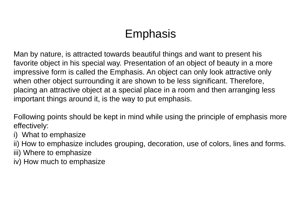# Emphasis

Man by nature, is attracted towards beautiful things and want to present his favorite object in his special way. Presentation of an object of beauty in a more impressive form is called the Emphasis. An object can only look attractive only when other object surrounding it are shown to be less significant. Therefore, placing an attractive object at a special place in a room and then arranging less important things around it, is the way to put emphasis.

Following points should be kept in mind while using the principle of emphasis more effectively:

- i) What to emphasize
- ii) How to emphasize includes grouping, decoration, use of colors, lines and forms.
- iii) Where to emphasize
- iv) How much to emphasize